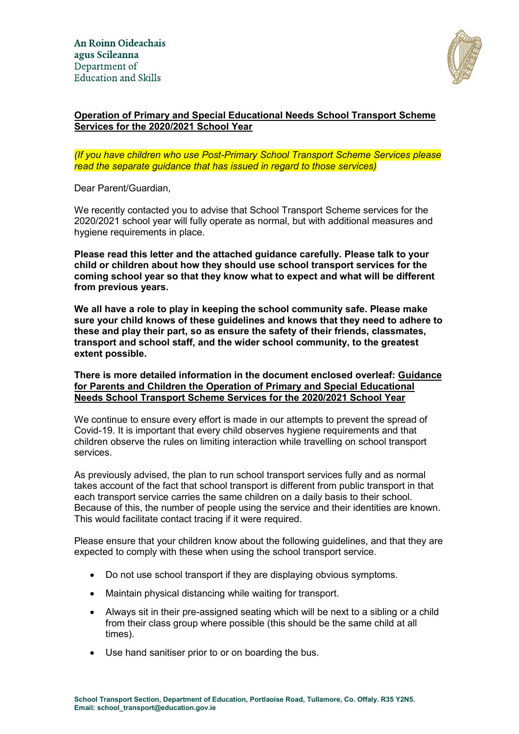

# **Operation of Primary and Special Educational Needs School Transport Scheme Services for the 2020/2021 School Year**

#### *(If you have children who use Post-Primary School Transport Scheme Services please read the separate guidance that has issued in regard to those services)*

Dear Parent/Guardian,

We recently contacted you to advise that School Transport Scheme services for the 2020/2021 school year will fully operate as normal, but with additional measures and hygiene requirements in place.

**Please read this letter and the attached guidance carefully. Please talk to your child or children about how they should use school transport services for the coming school year so that they know what to expect and what will be different from previous years.** 

**We all have a role to play in keeping the school community safe. Please make sure your child knows of these guidelines and knows that they need to adhere to these and play their part, so as ensure the safety of their friends, classmates, transport and school staff, and the wider school community, to the greatest extent possible.** 

**There is more detailed information in the document enclosed overleaf: Guidance for Parents and Children the Operation of Primary and Special Educational Needs School Transport Scheme Services for the 2020/2021 School Year** 

We continue to ensure every effort is made in our attempts to prevent the spread of Covid-19. It is important that every child observes hygiene requirements and that children observe the rules on limiting interaction while travelling on school transport services.

As previously advised, the plan to run school transport services fully and as normal takes account of the fact that school transport is different from public transport in that each transport service carries the same children on a daily basis to their school. Because of this, the number of people using the service and their identities are known. This would facilitate contact tracing if it were required.

Please ensure that your children know about the following guidelines, and that they are expected to comply with these when using the school transport service.

- Do not use school transport if they are displaying obvious symptoms.
- Maintain physical distancing while waiting for transport.
- Always sit in their pre-assigned seating which will be next to a sibling or a child from their class group where possible (this should be the same child at all times).
- Use hand sanitiser prior to or on boarding the bus.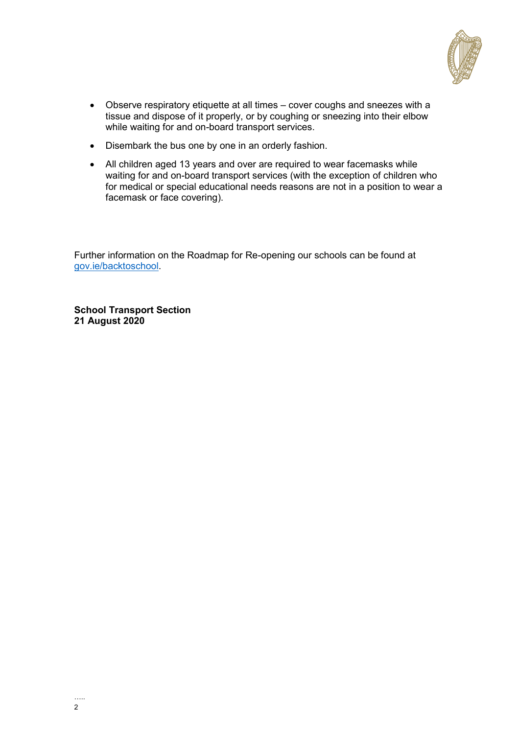

- Observe respiratory etiquette at all times cover coughs and sneezes with a tissue and dispose of it properly, or by coughing or sneezing into their elbow while waiting for and on-board transport services.
- Disembark the bus one by one in an orderly fashion.
- All children aged 13 years and over are required to wear facemasks while waiting for and on-board transport services (with the exception of children who for medical or special educational needs reasons are not in a position to wear a facemask or face covering).

Further information on the Roadmap for Re-opening our schools can be found at [gov.ie/backtoschool.](http://gov.ie/backtoschool)

**School Transport Section 21 August 2020**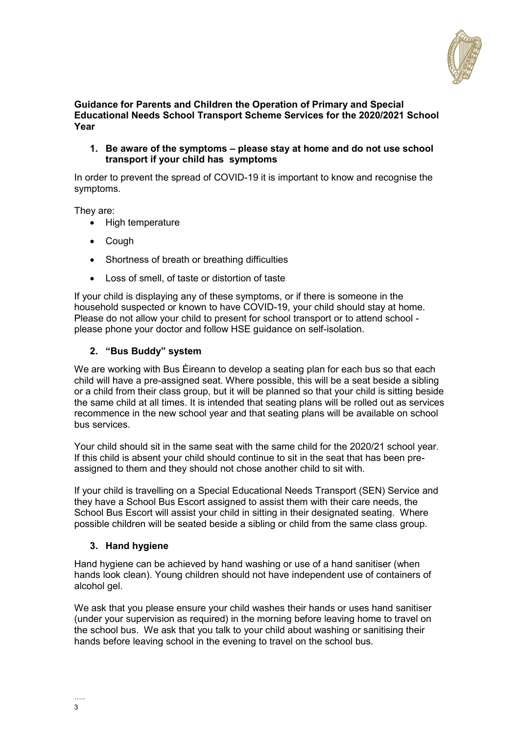

#### **Guidance for Parents and Children the Operation of Primary and Special Educational Needs School Transport Scheme Services for the 2020/2021 School Year**

**1. Be aware of the symptoms – please stay at home and do not use school transport if your child has symptoms**

In order to prevent the spread of COVID-19 it is important to know and recognise the symptoms.

They are:

- High temperature
- Cough
- Shortness of breath or breathing difficulties
- Loss of smell, of taste or distortion of taste

If your child is displaying any of these symptoms, or if there is someone in the household suspected or known to have COVID-19, your child should stay at home. Please do not allow your child to present for school transport or to attend school please phone your doctor and follow HSE guidance on self-isolation.

### **2. "Bus Buddy" system**

We are working with Bus Éireann to develop a seating plan for each bus so that each child will have a pre-assigned seat. Where possible, this will be a seat beside a sibling or a child from their class group, but it will be planned so that your child is sitting beside the same child at all times. It is intended that seating plans will be rolled out as services recommence in the new school year and that seating plans will be available on school bus services.

Your child should sit in the same seat with the same child for the 2020/21 school year. If this child is absent your child should continue to sit in the seat that has been preassigned to them and they should not chose another child to sit with.

If your child is travelling on a Special Educational Needs Transport (SEN) Service and they have a School Bus Escort assigned to assist them with their care needs, the School Bus Escort will assist your child in sitting in their designated seating. Where possible children will be seated beside a sibling or child from the same class group.

### **3. Hand hygiene**

Hand hygiene can be achieved by hand washing or use of a hand sanitiser (when hands look clean). Young children should not have independent use of containers of alcohol gel.

We ask that you please ensure your child washes their hands or uses hand sanitiser (under your supervision as required) in the morning before leaving home to travel on the school bus. We ask that you talk to your child about washing or sanitising their hands before leaving school in the evening to travel on the school bus.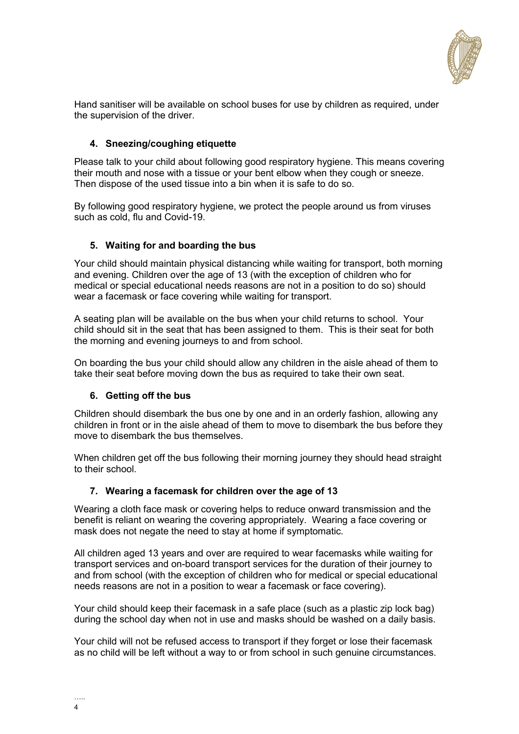

Hand sanitiser will be available on school buses for use by children as required, under the supervision of the driver.

# **4. Sneezing/coughing etiquette**

Please talk to your child about following good respiratory hygiene. This means covering their mouth and nose with a tissue or your bent elbow when they cough or sneeze. Then dispose of the used tissue into a bin when it is safe to do so.

By following good respiratory hygiene, we protect the people around us from viruses such as cold, flu and Covid-19.

# **5. Waiting for and boarding the bus**

Your child should maintain physical distancing while waiting for transport, both morning and evening. Children over the age of 13 (with the exception of children who for medical or special educational needs reasons are not in a position to do so) should wear a facemask or face covering while waiting for transport.

A seating plan will be available on the bus when your child returns to school. Your child should sit in the seat that has been assigned to them. This is their seat for both the morning and evening journeys to and from school.

On boarding the bus your child should allow any children in the aisle ahead of them to take their seat before moving down the bus as required to take their own seat.

### **6. Getting off the bus**

Children should disembark the bus one by one and in an orderly fashion, allowing any children in front or in the aisle ahead of them to move to disembark the bus before they move to disembark the bus themselves.

When children get off the bus following their morning journey they should head straight to their school.

### **7. Wearing a facemask for children over the age of 13**

Wearing a cloth face mask or covering helps to reduce onward transmission and the benefit is reliant on wearing the covering appropriately. Wearing a face covering or mask does not negate the need to stay at home if symptomatic.

All children aged 13 years and over are required to wear facemasks while waiting for transport services and on-board transport services for the duration of their journey to and from school (with the exception of children who for medical or special educational needs reasons are not in a position to wear a facemask or face covering).

Your child should keep their facemask in a safe place (such as a plastic zip lock bag) during the school day when not in use and masks should be washed on a daily basis.

Your child will not be refused access to transport if they forget or lose their facemask as no child will be left without a way to or from school in such genuine circumstances.